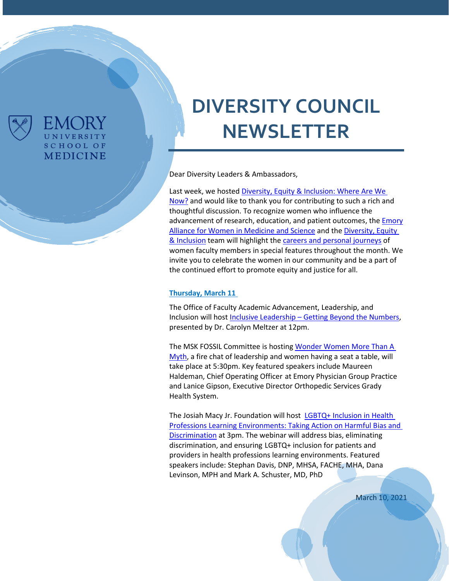

FMC JRY UNIVERSITY **SCHOOL OF MEDICINE** 

# **DIVERSITY COUNCIL NEWSLETTER**

Dear Diversity Leaders & Ambassadors,

Last week, we hoste[d Diversity, Equity & Inclusion: Where Are We](https://www.med.emory.edu/about/diversity/index.html)  [Now?](https://www.med.emory.edu/about/diversity/index.html) and would like to thank you for contributing to such a rich and thoughtful discussion. To recognize women who influence the advancement of research, education, and patient outcomes, the **Emory** [Alliance for Women in Medicine and Science](https://www.med.emory.edu/about/faculty/faculty-development/career-development/emory-alliance-for-women-in-medicine/index.htmlhttps:/www.med.emory.edu/about/faculty/faculty-development/career-development/emory-alliance-for-women-in-medicine/index.html) and the [Diversity, Equity](https://www.med.emory.edu/about/diversity/index.html)  [& Inclusion](https://www.med.emory.edu/about/diversity/index.html) team will highlight the [careers and personal journeys](https://sway.office.com/OwXFw1deJcoVgf4n?ref=Link&loc=play) of women faculty members in special features throughout the month. We invite you to celebrate the women in our community and be a part of the continued effort to promote equity and justice for all.

#### **Thursday, March 11**

The Office of Faculty Academic Advancement, Leadership, and Inclusion will host Inclusive Leadership – [Getting Beyond the Numbers,](https://eventactions.com/eareg.aspx?ea=Rsvp&invite=g7yp5mwh2jmxdzdk65jaduvwf4hb4uzbw0yv735ybr3w366u0xvg) presented by Dr. Carolyn Meltzer at 12pm.

The MSK FOSSIL Committee is hostin[g Wonder Women](https://emoryhealthcare.zoom.us/J/85925367699#success) More Than A [Myth,](https://emoryhealthcare.zoom.us/J/85925367699#success) a fire chat of leadership and women having a seat a table, will take place at 5:30pm. Key featured speakers include Maureen Haldeman, Chief Operating Officer at Emory Physician Group Practice and Lanice Gipson, Executive Director Orthopedic Services Grady Health System.

The Josiah Macy Jr. Foundation will host [LGBTQ+ Inclusion in Health](https://mailchi.mp/a8193f337abf/webinar-invitation-lgbtq?e=b81b2f54f0)  [Professions Learning Environments: Taking Action on Harmful Bias and](https://mailchi.mp/a8193f337abf/webinar-invitation-lgbtq?e=b81b2f54f0)  [Discrimination](https://mailchi.mp/a8193f337abf/webinar-invitation-lgbtq?e=b81b2f54f0) at 3pm. The webinar will address bias, eliminating discrimination, and ensuring LGBTQ+ inclusion for patients and providers in health professions learning environments. Featured speakers include: Stephan Davis, DNP, MHSA, FACHE, MHA, Dana Levinson, MPH and Mark A. Schuster, MD, PhD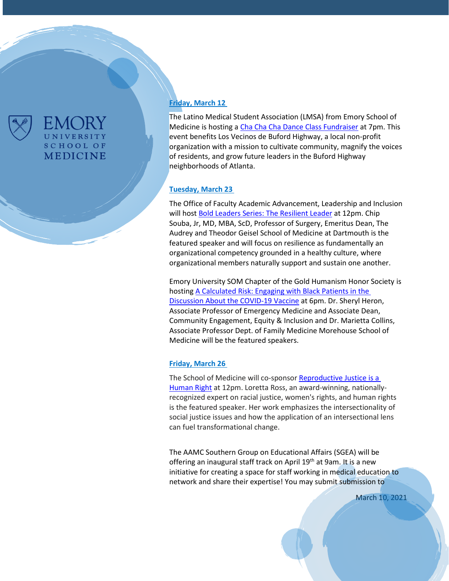

## UNIVERSITY **SCHOOL OF MEDICINE**

#### **Friday, March 12**

The Latino Medical Student Association (LMSA) from Emory School of Medicine is hosting [a Cha Cha Cha Dance Class Fundraiser](https://www.med.emory.edu/about/diversity/index.html) at 7pm. This event benefits [Los Vecinos de Buford Highway,](https://vecinosbh.org/) a local non-profit organization with a mission to cultivate community, magnify the voices of residents, and grow future leaders in the Buford Highway neighborhoods of Atlanta.

#### **Tuesday, March 23**

The Office of Faculty Academic Advancement, Leadership and Inclusion will host [Bold Leaders Series: The Resilient Leader](https://eventactions.com/eareg.aspx?ea=Rsvp&invite=04pmn3bbjp30dk9nhwedrcv72uyy0mk6kj5tey5y9k36wudnt717) at 12pm. Chip Souba, Jr, MD, MBA, ScD, Professor of Surgery, Emeritus Dean, The Audrey and Theodor Geisel School of Medicine at Dartmouth is the featured speaker and will focus on resilience as fundamentally an organizational competency grounded in a healthy culture, where organizational members naturally support and sustain one another.

Emory University SOM Chapter of the Gold Humanism Honor Society is hostin[g A Calculated Risk: Engaging with Black Patients](https://docs.google.com/forms/d/e/1FAIpQLSczqFya6ZS0zC4OujTQlI1NCsazF9em8dAEvmh2PBDKeHoHJQ/viewform) in the [Discussion About the COVID-19 Vaccine](https://docs.google.com/forms/d/e/1FAIpQLSczqFya6ZS0zC4OujTQlI1NCsazF9em8dAEvmh2PBDKeHoHJQ/viewform) at 6pm. Dr. Sheryl Heron, Associate Professor of Emergency Medicine and Associate Dean, Community Engagement, Equity & Inclusion and Dr. Marietta Collins, Associate Professor Dept. of Family Medicine Morehouse School of Medicine will be the featured speakers.

#### **Friday, March 26**

The School of Medicine will co-sponsor [Reproductive](https://eventactions.com/eareg.aspx?ea=Rsvp&invite=ggay8rxaayn7tbzcuaj2nv4e8xdbpgcxv10vvrsc1kx8s3ezzvfp) Justice is a [Human](https://eventactions.com/eareg.aspx?ea=Rsvp&invite=ggay8rxaayn7tbzcuaj2nv4e8xdbpgcxv10vvrsc1kx8s3ezzvfp) Right at 12pm. Loretta Ross, an award-winning, nationallyrecognized expert on racial justice, women's rights, and human rights is the featured speaker. Her work emphasizes the intersectionality of social justice issues and how the application of an intersectional lens can fuel transformational change.

The AAMC Southern Group on Educational Affairs (SGEA) will be offering an inaugural staff track on April 19<sup>th</sup> at 9am. It is a new initiative for creating a space for staff working in medical education to network and share their expertise! You may submit submission to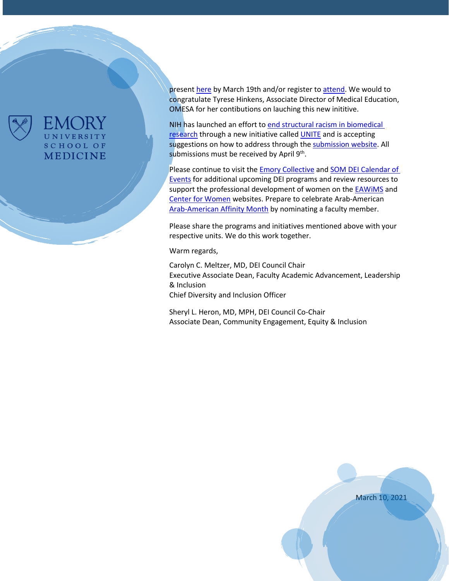

### EMORY UNIVERSITY **SCHOOL OF MEDICINE**

presen[t here](https://airtable.com/shrwMIXRtgylvhg7f) by March 19th and/or register t[o attend.](https://airtable.com/shrWiqdzRMeRTXMvX) We would to congratulate Tyrese Hinkens, Associate Director of Medical Education, OMESA for her contibutions on lauching this new inititive.

NIH has launched an effort to [end structural racism in biomedical](https://nam11.safelinks.protection.outlook.com/?url=https%3A%2F%2Flnks.gd%2Fl%2FeyJhbGciOiJIUzI1NiJ9.eyJidWxsZXRpbl9saW5rX2lkIjoxMDEsInVyaSI6ImJwMjpjbGljayIsImJ1bGxldGluX2lkIjoiMjAyMTAzMDIuMzYyMTM5MDEiLCJ1cmwiOiJodHRwOi8vd3d3Lm5paC5nb3YvZW5kaW5nLXN0cnVjdHVyYWwtcmFjaXNtP3V0bV9jYW1wYWlnbj11bml0ZSZ1dG1fbWVkaXVtPWVtYWlsJnV0bV9zb3VyY2U9Z292ZGVsaXZlcnkifQ.BDpOFjlpwDU1lbYZMB9_MxCE4Hbu9QXklABICEcfydw%2Fs%2F772595852%2Fbr%2F98745270010-l&data=04%7C01%7Cdejoron.t.campbell%40emory.edu%7C709c317240aa44bc0a5708d8ddd5b761%7Ce004fb9cb0a4424fbcd0322606d5df38%7C0%7C0%7C637503257259948537%7CUnknown%7CTWFpbGZsb3d8eyJWIjoiMC4wLjAwMDAiLCJQIjoiV2luMzIiLCJBTiI6Ik1haWwiLCJXVCI6Mn0%3D%7C1000&sdata=LTB2X%2BRHzZDD5TpDeQlFXMZEXkp%2B3%2F72MGEq%2FHyBEHw%3D&reserved=0)  [research](https://nam11.safelinks.protection.outlook.com/?url=https%3A%2F%2Flnks.gd%2Fl%2FeyJhbGciOiJIUzI1NiJ9.eyJidWxsZXRpbl9saW5rX2lkIjoxMDEsInVyaSI6ImJwMjpjbGljayIsImJ1bGxldGluX2lkIjoiMjAyMTAzMDIuMzYyMTM5MDEiLCJ1cmwiOiJodHRwOi8vd3d3Lm5paC5nb3YvZW5kaW5nLXN0cnVjdHVyYWwtcmFjaXNtP3V0bV9jYW1wYWlnbj11bml0ZSZ1dG1fbWVkaXVtPWVtYWlsJnV0bV9zb3VyY2U9Z292ZGVsaXZlcnkifQ.BDpOFjlpwDU1lbYZMB9_MxCE4Hbu9QXklABICEcfydw%2Fs%2F772595852%2Fbr%2F98745270010-l&data=04%7C01%7Cdejoron.t.campbell%40emory.edu%7C709c317240aa44bc0a5708d8ddd5b761%7Ce004fb9cb0a4424fbcd0322606d5df38%7C0%7C0%7C637503257259948537%7CUnknown%7CTWFpbGZsb3d8eyJWIjoiMC4wLjAwMDAiLCJQIjoiV2luMzIiLCJBTiI6Ik1haWwiLCJXVCI6Mn0%3D%7C1000&sdata=LTB2X%2BRHzZDD5TpDeQlFXMZEXkp%2B3%2F72MGEq%2FHyBEHw%3D&reserved=0) through a new initiative called [UNITE](https://nam11.safelinks.protection.outlook.com/?url=https%3A%2F%2Flnks.gd%2Fl%2FeyJhbGciOiJIUzI1NiJ9.eyJidWxsZXRpbl9saW5rX2lkIjoxMDIsInVyaSI6ImJwMjpjbGljayIsImJ1bGxldGluX2lkIjoiMjAyMTAzMDIuMzYyMTM5MDEiLCJ1cmwiOiJodHRwczovL3d3dy5uaWguZ292L2VuZGluZy1zdHJ1Y3R1cmFsLXJhY2lzbS91bml0ZT91dG1fY2FtcGFpZ249dW5pdGUmdXRtX21lZGl1bT1lbWFpbCZ1dG1fc291cmNlPWdvdmRlbGl2ZXJ5In0.aLHREtKy47toN6ObPcHRKm4yv4FcWXN4XXrJ2aIh1LY%2Fs%2F772595852%2Fbr%2F98745270010-l&data=04%7C01%7Cdejoron.t.campbell%40emory.edu%7C709c317240aa44bc0a5708d8ddd5b761%7Ce004fb9cb0a4424fbcd0322606d5df38%7C0%7C0%7C637503257259958535%7CUnknown%7CTWFpbGZsb3d8eyJWIjoiMC4wLjAwMDAiLCJQIjoiV2luMzIiLCJBTiI6Ik1haWwiLCJXVCI6Mn0%3D%7C1000&sdata=v%2FjHKAzA0TIpS%2BgbrFPVFFnZsA45VsLtlch2avFbibE%3D&reserved=0) and is accepting suggestions on how to address through the [submission website.](https://nam11.safelinks.protection.outlook.com/?url=https%3A%2F%2Flnks.gd%2Fl%2FeyJhbGciOiJIUzI1NiJ9.eyJidWxsZXRpbl9saW5rX2lkIjoxMDUsInVyaSI6ImJwMjpjbGljayIsImJ1bGxldGluX2lkIjoiMjAyMTAzMDIuMzYyMTM5MDEiLCJ1cmwiOiJodHRwczovL3JmaS5ncmFudHMubmloLmdvdi8_cz02MDFkNzM3Y2I1MGEwMDAwNzQwMDM4YTImdXRtX2NhbXBhaWduPXVuaXRlJnV0bV9tZWRpdW09ZW1haWwmdXRtX3NvdXJjZT1nb3ZkZWxpdmVyeSJ9.M274lqikA7xbhmVtlHks3ErAiX6jI8Ija0Rn6t9fCSQ%2Fs%2F772595852%2Fbr%2F98745270010-l&data=04%7C01%7Cdejoron.t.campbell%40emory.edu%7C709c317240aa44bc0a5708d8ddd5b761%7Ce004fb9cb0a4424fbcd0322606d5df38%7C0%7C0%7C637503257259968526%7CUnknown%7CTWFpbGZsb3d8eyJWIjoiMC4wLjAwMDAiLCJQIjoiV2luMzIiLCJBTiI6Ik1haWwiLCJXVCI6Mn0%3D%7C1000&sdata=NVBy9KucRz9MPa%2Fv35EjKR9zDdORpgR1tCdHdinS6xM%3D&reserved=0) All submissions must be received by April 9<sup>th</sup>.

Please continue to visit the **Emory Collective and SOM DEI Calendar of** [Events](https://med.emory.edu/about/events/index.html#Diversity%20Equity%20and%20Inclusion) for additional upcoming DEI programs and review resources to support the professional development of women on the **EAWIMS** and [Center for Women](http://www.womenscenter.emory.edu/programs/index.html) websites. Prepare to celebrate Arab-American [Arab-American Affinity Month](https://www.med.emory.edu/about/diversity/affinity_months.html) by nominating a faculty member.

Please share the programs and initiatives mentioned above with your respective units. We do this work together.

Warm regards,

Carolyn C. Meltzer, MD, DEI Council Chair Executive Associate Dean, Faculty Academic Advancement, Leadership & Inclusion Chief Diversity and Inclusion Officer

Sheryl L. Heron, MD, MPH, DEI Council Co-Chair Associate Dean, Community Engagement, Equity & Inclusion